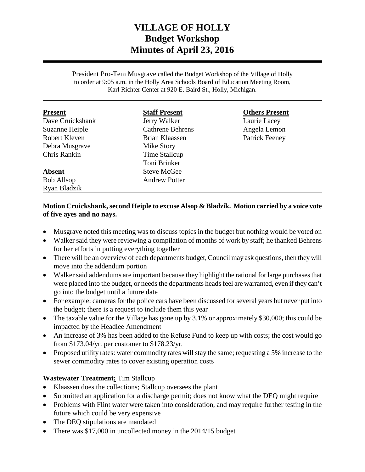# **VILLAGE OF HOLLY Budget Workshop Minutes of April 23, 2016**

President Pro-Tem Musgrave called the Budget Workshop of the Village of Holly to order at 9:05 a.m. in the Holly Area Schools Board of Education Meeting Room, Karl Richter Center at 920 E. Baird St., Holly, Michigan.

| <b>Present</b>        | <b>Staff Present</b>    | <b>Others Present</b> |
|-----------------------|-------------------------|-----------------------|
| Dave Cruickshank      | Jerry Walker            | Laurie Lacey          |
| <b>Suzanne Heiple</b> | <b>Cathrene Behrens</b> | Angela Lemon          |
| Robert Kleven         | Brian Klaassen          | <b>Patrick Feeney</b> |
| Debra Musgrave        | Mike Story              |                       |
| Chris Rankin          | Time Stallcup           |                       |
|                       | Toni Brinker            |                       |
| <b>Absent</b>         | <b>Steve McGee</b>      |                       |
| <b>Bob Allsop</b>     | <b>Andrew Potter</b>    |                       |
| Ryan Bladzik          |                         |                       |

# **Motion Cruickshank,second Heiple to excuse Alsop & Bladzik. Motion carried by a voice vote of five ayes and no nays.**

- Musgrave noted this meeting was to discuss topics in the budget but nothing would be voted on
- Walker said they were reviewing a compilation of months of work by staff; he thanked Behrens for her efforts in putting everything together
- There will be an overview of each departments budget, Council may ask questions, then they will move into the addendum portion
- Walker said addendums are important because they highlight the rational for large purchases that were placed into the budget, or needs the departments heads feel are warranted, even if they can't go into the budget until a future date
- For example: cameras for the police cars have been discussed for several years but never put into the budget; there is a request to include them this year
- The taxable value for the Village has gone up by 3.1% or approximately \$30,000; this could be impacted by the Headlee Amendment
- An increase of 3% has been added to the Refuse Fund to keep up with costs; the cost would go from \$173.04/yr. per customer to \$178.23/yr.
- Proposed utility rates: water commodity rates will stay the same; requesting a 5% increase to the sewer commodity rates to cover existing operation costs

# **Wastewater Treatment:** Tim Stallcup

- Klaassen does the collections; Stallcup oversees the plant
- Submitted an application for a discharge permit; does not know what the DEQ might require
- Problems with Flint water were taken into consideration, and may require further testing in the future which could be very expensive
- The DEQ stipulations are mandated
- There was \$17,000 in uncollected money in the 2014/15 budget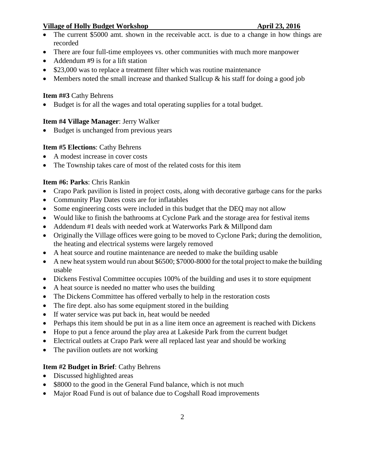- The current \$5000 amt. shown in the receivable acct. is due to a change in how things are recorded
- There are four full-time employees vs. other communities with much more manpower
- Addendum #9 is for a lift station
- \$23,000 was to replace a treatment filter which was routine maintenance
- Members noted the small increase and thanked Stallcup  $\&$  his staff for doing a good job

# **Item ##3** Cathy Behrens

• Budget is for all the wages and total operating supplies for a total budget.

# **Item #4 Village Manager**: Jerry Walker

• Budget is unchanged from previous years

# **Item #5 Elections**: Cathy Behrens

- A modest increase in cover costs
- The Township takes care of most of the related costs for this item

# **Item #6: Parks**: Chris Rankin

- Crapo Park pavilion is listed in project costs, along with decorative garbage cans for the parks
- Community Play Dates costs are for inflatables
- Some engineering costs were included in this budget that the DEQ may not allow
- Would like to finish the bathrooms at Cyclone Park and the storage area for festival items
- Addendum #1 deals with needed work at Waterworks Park & Millpond dam
- Originally the Village offices were going to be moved to Cyclone Park; during the demolition, the heating and electrical systems were largely removed
- A heat source and routine maintenance are needed to make the building usable
- A new heat system would run about \$6500; \$7000-8000 for the total project to make the building usable
- Dickens Festival Committee occupies 100% of the building and uses it to store equipment
- A heat source is needed no matter who uses the building
- The Dickens Committee has offered verbally to help in the restoration costs
- The fire dept. also has some equipment stored in the building
- If water service was put back in, heat would be needed
- Perhaps this item should be put in as a line item once an agreement is reached with Dickens
- Hope to put a fence around the play area at Lakeside Park from the current budget
- Electrical outlets at Crapo Park were all replaced last year and should be working
- The pavilion outlets are not working

# **Item #2 Budget in Brief**: Cathy Behrens

- Discussed highlighted areas
- \$8000 to the good in the General Fund balance, which is not much
- Major Road Fund is out of balance due to Cogshall Road improvements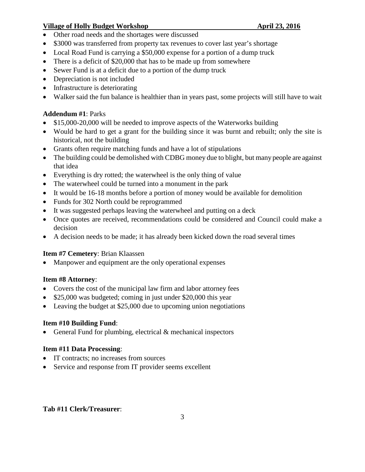- Other road needs and the shortages were discussed
- \$3000 was transferred from property tax revenues to cover last year's shortage
- Local Road Fund is carrying a \$50,000 expense for a portion of a dump truck
- There is a deficit of \$20,000 that has to be made up from somewhere
- Sewer Fund is at a deficit due to a portion of the dump truck
- Depreciation is not included
- Infrastructure is deteriorating
- Walker said the fun balance is healthier than in years past, some projects will still have to wait

# **Addendum #1**: Parks

- \$15,000-20,000 will be needed to improve aspects of the Waterworks building
- Would be hard to get a grant for the building since it was burnt and rebuilt; only the site is historical, not the building
- Grants often require matching funds and have a lot of stipulations
- The building could be demolished with CDBG money due to blight, but many people are against that idea
- Everything is dry rotted; the waterwheel is the only thing of value
- The waterwheel could be turned into a monument in the park
- It would be 16-18 months before a portion of money would be available for demolition
- Funds for 302 North could be reprogrammed
- It was suggested perhaps leaving the waterwheel and putting on a deck
- Once quotes are received, recommendations could be considered and Council could make a decision
- A decision needs to be made; it has already been kicked down the road several times

# **Item #7 Cemetery**: Brian Klaassen

• Manpower and equipment are the only operational expenses

# **Item #8 Attorney**:

- Covers the cost of the municipal law firm and labor attorney fees
- \$25,000 was budgeted; coming in just under \$20,000 this year
- Leaving the budget at \$25,000 due to upcoming union negotiations

# **Item #10 Building Fund**:

• General Fund for plumbing, electrical & mechanical inspectors

# **Item #11 Data Processing**:

- IT contracts; no increases from sources
- Service and response from IT provider seems excellent

# **Tab #11 Clerk/Treasurer**: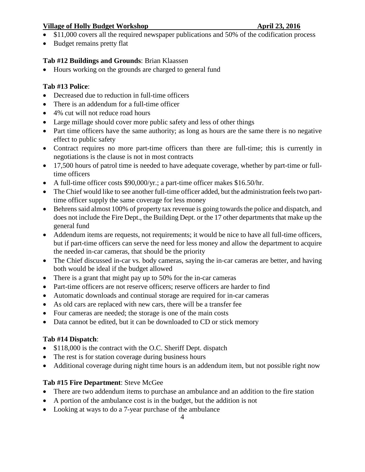- $\overline{\bullet}$  \$11,000 covers all the required newspaper publications and 50% of the codification process
- Budget remains pretty flat

# **Tab #12 Buildings and Grounds**: Brian Klaassen

• Hours working on the grounds are charged to general fund

# **Tab #13 Police**:

- Decreased due to reduction in full-time officers
- There is an addendum for a full-time officer
- 4% cut will not reduce road hours
- Large millage should cover more public safety and less of other things
- Part time officers have the same authority; as long as hours are the same there is no negative effect to public safety
- Contract requires no more part-time officers than there are full-time; this is currently in negotiations is the clause is not in most contracts
- 17,500 hours of patrol time is needed to have adequate coverage, whether by part-time or fulltime officers
- A full-time officer costs \$90,000/yr.; a part-time officer makes \$16.50/hr.
- The Chief would like to see another full-time officer added, but the administration feels two parttime officer supply the same coverage for less money
- Behrens said almost 100% of property tax revenue is going towards the police and dispatch, and does not include the Fire Dept., the Building Dept. or the 17 other departments that make up the general fund
- Addendum items are requests, not requirements; it would be nice to have all full-time officers, but if part-time officers can serve the need for less money and allow the department to acquire the needed in-car cameras, that should be the priority
- The Chief discussed in-car vs. body cameras, saying the in-car cameras are better, and having both would be ideal if the budget allowed
- There is a grant that might pay up to 50% for the in-car cameras
- Part-time officers are not reserve officers; reserve officers are harder to find
- Automatic downloads and continual storage are required for in-car cameras
- As old cars are replaced with new cars, there will be a transfer fee
- Four cameras are needed; the storage is one of the main costs
- Data cannot be edited, but it can be downloaded to CD or stick memory

# **Tab #14 Dispatch**:

- \$118,000 is the contract with the O.C. Sheriff Dept. dispatch
- The rest is for station coverage during business hours
- Additional coverage during night time hours is an addendum item, but not possible right now

# **Tab #15 Fire Department**: Steve McGee

- There are two addendum items to purchase an ambulance and an addition to the fire station
- A portion of the ambulance cost is in the budget, but the addition is not
- Looking at ways to do a 7-year purchase of the ambulance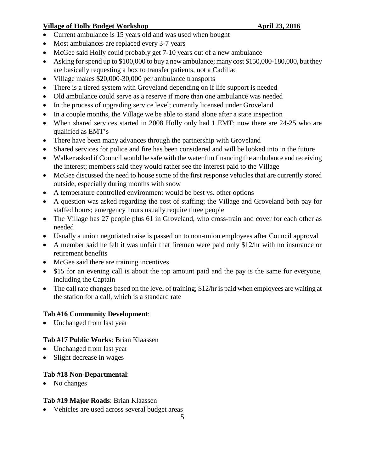- Current ambulance is 15 years old and was used when bought
- Most ambulances are replaced every 3-7 years
- McGee said Holly could probably get 7-10 years out of a new ambulance
- Asking for spend up to \$100,000 to buy a new ambulance; many cost \$150,000-180,000, but they are basically requesting a box to transfer patients, not a Cadillac
- Village makes \$20,000-30,000 per ambulance transports
- There is a tiered system with Groveland depending on if life support is needed
- Old ambulance could serve as a reserve if more than one ambulance was needed
- In the process of upgrading service level; currently licensed under Groveland
- In a couple months, the Village we be able to stand alone after a state inspection
- When shared services started in 2008 Holly only had 1 EMT; now there are 24-25 who are qualified as EMT's
- There have been many advances through the partnership with Groveland
- Shared services for police and fire has been considered and will be looked into in the future
- Walker asked if Council would be safe with the water fun financing the ambulance and receiving the interest; members said they would rather see the interest paid to the Village
- McGee discussed the need to house some of the first response vehicles that are currently stored outside, especially during months with snow
- A temperature controlled environment would be best vs. other options
- A question was asked regarding the cost of staffing; the Village and Groveland both pay for staffed hours; emergency hours usually require three people
- The Village has 27 people plus 61 in Groveland, who cross-train and cover for each other as needed
- Usually a union negotiated raise is passed on to non-union employees after Council approval
- A member said he felt it was unfair that firemen were paid only \$12/hr with no insurance or retirement benefits
- McGee said there are training incentives
- \$15 for an evening call is about the top amount paid and the pay is the same for everyone, including the Captain
- The call rate changes based on the level of training; \$12/hr is paid when employees are waiting at the station for a call, which is a standard rate

# **Tab #16 Community Development**:

• Unchanged from last year

# **Tab #17 Public Works**: Brian Klaassen

- Unchanged from last year
- Slight decrease in wages

# **Tab #18 Non-Departmental**:

• No changes

# **Tab #19 Major Roads**: Brian Klaassen

• Vehicles are used across several budget areas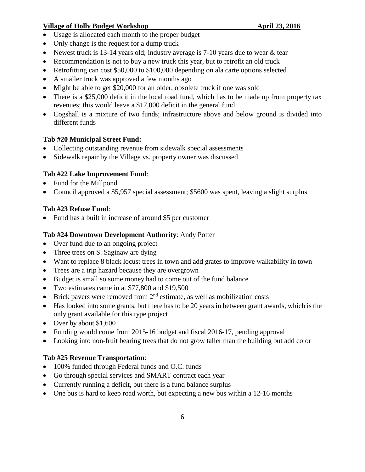- Usage is allocated each month to the proper budget
- Only change is the request for a dump truck
- Newest truck is 13-14 years old; industry average is 7-10 years due to wear & tear
- Recommendation is not to buy a new truck this year, but to retrofit an old truck
- Retrofitting can cost \$50,000 to \$100,000 depending on ala carte options selected
- A smaller truck was approved a few months ago
- Might be able to get \$20,000 for an older, obsolete truck if one was sold
- There is a \$25,000 deficit in the local road fund, which has to be made up from property tax revenues; this would leave a \$17,000 deficit in the general fund
- Cogshall is a mixture of two funds; infrastructure above and below ground is divided into different funds

# **Tab #20 Municipal Street Fund:**

- Collecting outstanding revenue from sidewalk special assessments
- Sidewalk repair by the Village vs. property owner was discussed

# **Tab #22 Lake Improvement Fund**:

- Fund for the Millpond
- Council approved a \$5,957 special assessment; \$5600 was spent, leaving a slight surplus

# **Tab #23 Refuse Fund**:

• Fund has a built in increase of around \$5 per customer

# **Tab #24 Downtown Development Authority**: Andy Potter

- Over fund due to an ongoing project
- Three trees on S. Saginaw are dying
- Want to replace 8 black locust trees in town and add grates to improve walkability in town
- Trees are a trip hazard because they are overgrown
- Budget is small so some money had to come out of the fund balance
- Two estimates came in at \$77,800 and \$19,500
- Brick pavers were removed from  $2<sup>nd</sup>$  estimate, as well as mobilization costs
- Has looked into some grants, but there has to be 20 years in between grant awards, which is the only grant available for this type project
- Over by about \$1,600
- Funding would come from 2015-16 budget and fiscal 2016-17, pending approval
- Looking into non-fruit bearing trees that do not grow taller than the building but add color

# **Tab #25 Revenue Transportation**:

- 100% funded through Federal funds and O.C. funds
- Go through special services and SMART contract each year
- Currently running a deficit, but there is a fund balance surplus
- One bus is hard to keep road worth, but expecting a new bus within a 12-16 months